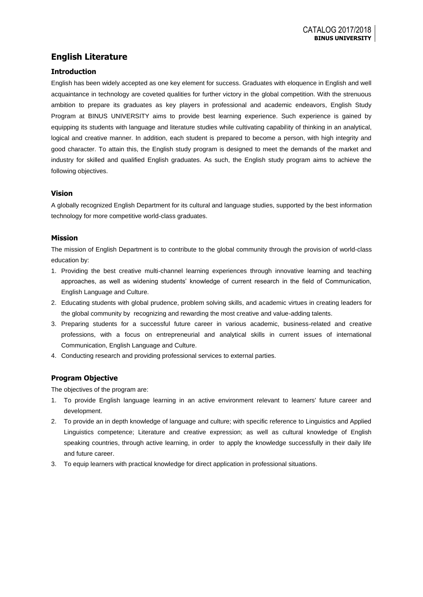# **English Literature**

## **Introduction**

English has been widely accepted as one key element for success. Graduates with eloquence in English and well acquaintance in technology are coveted qualities for further victory in the global competition. With the strenuous ambition to prepare its graduates as key players in professional and academic endeavors, English Study Program at BINUS UNIVERSITY aims to provide best learning experience. Such experience is gained by equipping its students with language and literature studies while cultivating capability of thinking in an analytical, logical and creative manner. In addition, each student is prepared to become a person, with high integrity and good character. To attain this, the English study program is designed to meet the demands of the market and industry for skilled and qualified English graduates. As such, the English study program aims to achieve the following objectives.

## **Vision**

A globally recognized English Department for its cultural and language studies, supported by the best information technology for more competitive world-class graduates.

## **Mission**

The mission of English Department is to contribute to the global community through the provision of world-class education by:

- 1. Providing the best creative multi-channel learning experiences through innovative learning and teaching approaches, as well as widening students' knowledge of current research in the field of Communication, English Language and Culture.
- 2. Educating students with global prudence, problem solving skills, and academic virtues in creating leaders for the global community by recognizing and rewarding the most creative and value-adding talents.
- 3. Preparing students for a successful future career in various academic, business-related and creative professions, with a focus on entrepreneurial and analytical skills in current issues of international Communication, English Language and Culture.
- 4. Conducting research and providing professional services to external parties.

## **Program Objective**

The objectives of the program are:

- 1. To provide English language learning in an active environment relevant to learners' future career and development.
- 2. To provide an in depth knowledge of language and culture; with specific reference to Linguistics and Applied Linguistics competence; Literature and creative expression; as well as cultural knowledge of English speaking countries, through active learning, in order to apply the knowledge successfully in their daily life and future career.
- 3. To equip learners with practical knowledge for direct application in professional situations.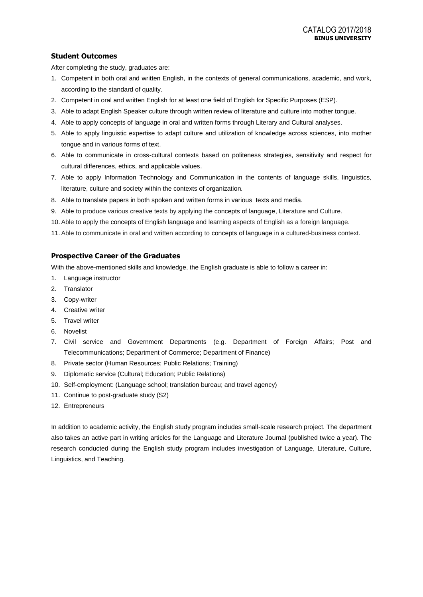## **Student Outcomes**

After completing the study, graduates are:

- 1. Competent in both oral and written English, in the contexts of general communications, academic, and work, according to the standard of quality.
- 2. Competent in oral and written English for at least one field of English for Specific Purposes (ESP).
- 3. Able to adapt English Speaker culture through written review of literature and culture into mother tongue.
- 4. Able to apply concepts of language in oral and written forms through Literary and Cultural analyses.
- 5. Able to apply linguistic expertise to adapt culture and utilization of knowledge across sciences, into mother tongue and in various forms of text.
- 6. Able to communicate in cross-cultural contexts based on politeness strategies, sensitivity and respect for cultural differences, ethics, and applicable values.
- 7. Able to apply Information Technology and Communication in the contents of language skills, linguistics, literature, culture and society within the contexts of organization*.*
- 8. Able to translate papers in both spoken and written forms in various texts and media.
- 9. Able to produce various creative texts by applying the concepts of language, Literature and Culture.
- 10. Able to apply the concepts of English language and learning aspects of English as a foreign language.
- 11. Able to communicate in oral and written according to concepts of language in a cultured-business context.

## **Prospective Career of the Graduates**

With the above-mentioned skills and knowledge, the English graduate is able to follow a career in:

- 1. Language instructor
- 2. Translator
- 3. Copy-writer
- 4. Creative writer
- 5. Travel writer
- 6. Novelist
- 7. Civil service and Government Departments (e.g. Department of Foreign Affairs; Post and Telecommunications; Department of Commerce; Department of Finance)
- 8. Private sector (Human Resources; Public Relations; Training)
- 9. Diplomatic service (Cultural; Education; Public Relations)
- 10. Self-employment: (Language school; translation bureau; and travel agency)
- 11. Continue to post-graduate study (S2)
- 12. Entrepreneurs

In addition to academic activity, the English study program includes small-scale research project. The department also takes an active part in writing articles for the Language and Literature Journal (published twice a year). The research conducted during the English study program includes investigation of Language, Literature, Culture, Linguistics, and Teaching.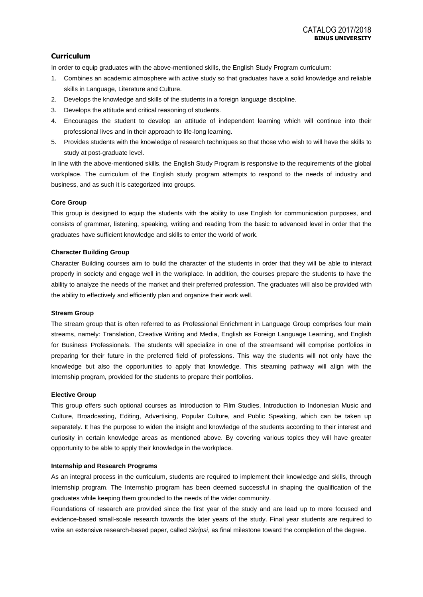## **Curriculum**

In order to equip graduates with the above-mentioned skills, the English Study Program curriculum:

- 1. Combines an academic atmosphere with active study so that graduates have a solid knowledge and reliable skills in Language, Literature and Culture.
- 2. Develops the knowledge and skills of the students in a foreign language discipline.
- 3. Develops the attitude and critical reasoning of students.
- 4. Encourages the student to develop an attitude of independent learning which will continue into their professional lives and in their approach to life-long learning.
- 5. Provides students with the knowledge of research techniques so that those who wish to will have the skills to study at post-graduate level.

In line with the above-mentioned skills, the English Study Program is responsive to the requirements of the global workplace. The curriculum of the English study program attempts to respond to the needs of industry and business, and as such it is categorized into groups.

### **Core Group**

This group is designed to equip the students with the ability to use English for communication purposes, and consists of grammar, listening, speaking, writing and reading from the basic to advanced level in order that the graduates have sufficient knowledge and skills to enter the world of work.

### **Character Building Group**

Character Building courses aim to build the character of the students in order that they will be able to interact properly in society and engage well in the workplace. In addition, the courses prepare the students to have the ability to analyze the needs of the market and their preferred profession. The graduates will also be provided with the ability to effectively and efficiently plan and organize their work well.

#### **Stream Group**

The stream group that is often referred to as Professional Enrichment in Language Group comprises four main streams, namely: Translation, Creative Writing and Media, English as Foreign Language Learning, and English for Business Professionals. The students will specialize in one of the streamsand will comprise portfolios in preparing for their future in the preferred field of professions. This way the students will not only have the knowledge but also the opportunities to apply that knowledge. This steaming pathway will align with the Internship program, provided for the students to prepare their portfolios.

#### **Elective Group**

This group offers such optional courses as Introduction to Film Studies, Introduction to Indonesian Music and Culture, Broadcasting, Editing, Advertising, Popular Culture, and Public Speaking, which can be taken up separately. It has the purpose to widen the insight and knowledge of the students according to their interest and curiosity in certain knowledge areas as mentioned above. By covering various topics they will have greater opportunity to be able to apply their knowledge in the workplace.

#### **Internship and Research Programs**

As an integral process in the curriculum, students are required to implement their knowledge and skills, through Internship program. The Internship program has been deemed successful in shaping the qualification of the graduates while keeping them grounded to the needs of the wider community.

Foundations of research are provided since the first year of the study and are lead up to more focused and evidence-based small-scale research towards the later years of the study. Final year students are required to write an extensive research-based paper, called *Skripsi*, as final milestone toward the completion of the degree.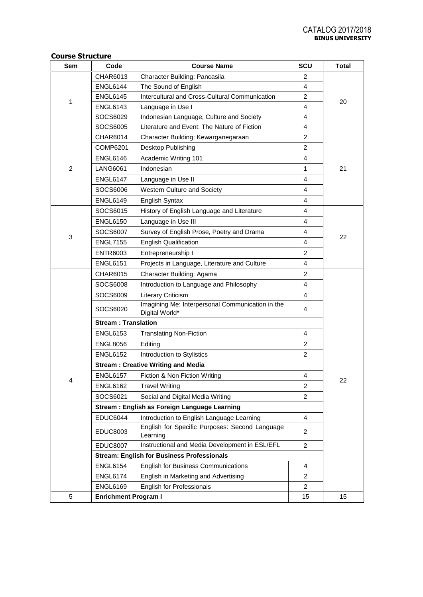## **Course Structure**

| Sem            | Code                        | <b>Course Name</b>                                                 | <b>SCU</b>     | <b>Total</b> |  |  |
|----------------|-----------------------------|--------------------------------------------------------------------|----------------|--------------|--|--|
|                | CHAR6013                    | Character Building: Pancasila                                      | 2              |              |  |  |
|                | <b>ENGL6144</b>             | The Sound of English                                               | 4              |              |  |  |
| 1              | <b>ENGL6145</b>             | Intercultural and Cross-Cultural Communication                     | $\overline{2}$ | 20           |  |  |
|                | <b>ENGL6143</b>             | Language in Use I                                                  | 4              |              |  |  |
|                | SOCS6029                    | Indonesian Language, Culture and Society                           | 4              |              |  |  |
|                | SOCS6005                    | Literature and Event: The Nature of Fiction                        | 4              |              |  |  |
|                | CHAR6014                    | Character Building: Kewarganegaraan                                | $\overline{2}$ |              |  |  |
|                | <b>COMP6201</b>             | Desktop Publishing                                                 | 2              |              |  |  |
|                | <b>ENGL6146</b>             | Academic Writing 101                                               | 4              |              |  |  |
| $\overline{2}$ | <b>LANG6061</b>             | Indonesian                                                         | 1              | 21           |  |  |
|                | <b>ENGL6147</b>             | Language in Use II                                                 | 4              |              |  |  |
|                | SOCS6006                    | Western Culture and Society                                        | 4              |              |  |  |
|                | <b>ENGL6149</b>             | English Syntax                                                     | 4              |              |  |  |
|                | SOCS6015                    | History of English Language and Literature                         | 4              |              |  |  |
|                | <b>ENGL6150</b>             | Language in Use III                                                | 4              |              |  |  |
| 3              | SOCS6007                    | Survey of English Prose, Poetry and Drama                          | 4              | 22           |  |  |
|                | <b>ENGL7155</b>             | <b>English Qualification</b>                                       | 4              |              |  |  |
|                | <b>ENTR6003</b>             | Entrepreneurship I                                                 | 2              |              |  |  |
|                | <b>ENGL6151</b>             | Projects in Language, Literature and Culture                       | 4              |              |  |  |
|                | <b>CHAR6015</b>             | Character Building: Agama                                          | $\overline{2}$ |              |  |  |
|                | SOCS6008                    | Introduction to Language and Philosophy                            | 4              |              |  |  |
|                | SOCS6009                    | Literary Criticism                                                 | 4              |              |  |  |
|                | SOCS6020                    | Imagining Me: Interpersonal Communication in the<br>Digital World* | 4              |              |  |  |
|                | <b>Stream: Translation</b>  |                                                                    |                |              |  |  |
|                | <b>ENGL6153</b>             | <b>Translating Non-Fiction</b>                                     | 4              |              |  |  |
|                | <b>ENGL8056</b>             | Editing                                                            | $\overline{2}$ |              |  |  |
|                | <b>ENGL6152</b>             | Introduction to Stylistics                                         | $\overline{2}$ |              |  |  |
|                |                             | <b>Stream: Creative Writing and Media</b>                          |                |              |  |  |
| $\overline{4}$ | <b>ENGL6157</b>             | Fiction & Non Fiction Writing                                      | 4              | 22           |  |  |
|                | <b>ENGL6162</b>             | <b>Travel Writing</b>                                              | 2              |              |  |  |
|                | SOCS6021                    | Social and Digital Media Writing                                   | 2              |              |  |  |
|                |                             | Stream: English as Foreign Language Learning                       |                |              |  |  |
|                | <b>EDUC6044</b>             | Introduction to English Language Learning                          | 4              |              |  |  |
|                | EDUC8003                    | English for Specific Purposes: Second Language<br>Learning         | $\overline{2}$ |              |  |  |
|                | <b>EDUC8007</b>             | Instructional and Media Development in ESL/EFL                     | $\overline{2}$ |              |  |  |
|                |                             | <b>Stream: English for Business Professionals</b>                  |                |              |  |  |
|                | <b>ENGL6154</b>             | <b>English for Business Communications</b>                         | 4              |              |  |  |
|                | <b>ENGL6174</b>             | English in Marketing and Advertising                               | $\overline{c}$ |              |  |  |
|                | <b>ENGL6169</b>             | <b>English for Professionals</b>                                   | $\overline{2}$ |              |  |  |
| 5              | <b>Enrichment Program I</b> |                                                                    | 15             | 15           |  |  |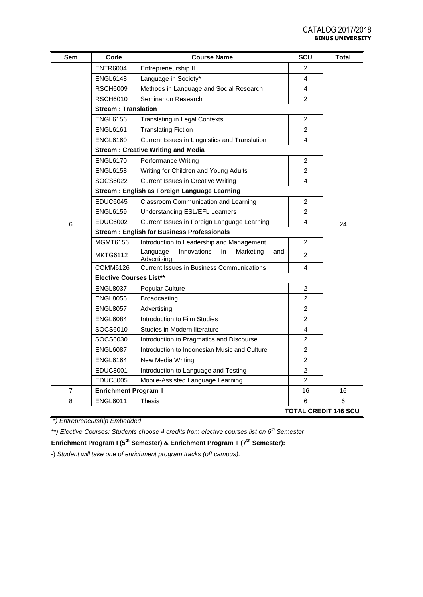| Sem                      | Code                           | <b>Course Name</b>                                               | SCU            | Total                       |
|--------------------------|--------------------------------|------------------------------------------------------------------|----------------|-----------------------------|
|                          | <b>ENTR6004</b>                | Entrepreneurship II                                              | 2              |                             |
|                          | <b>ENGL6148</b>                | Language in Society*                                             | 4              |                             |
|                          | <b>RSCH6009</b>                | Methods in Language and Social Research                          | 4              |                             |
|                          | <b>RSCH6010</b>                | Seminar on Research                                              | $\overline{2}$ |                             |
|                          | <b>Stream: Translation</b>     |                                                                  |                |                             |
|                          | <b>ENGL6156</b>                | <b>Translating in Legal Contexts</b>                             | $\overline{c}$ |                             |
|                          | <b>ENGL6161</b>                | <b>Translating Fiction</b>                                       | $\overline{2}$ |                             |
|                          | <b>ENGL6160</b>                | Current Issues in Linguistics and Translation                    | 4              |                             |
|                          |                                | <b>Stream: Creative Writing and Media</b>                        |                |                             |
|                          | <b>ENGL6170</b>                | Performance Writing                                              | 2              |                             |
|                          | <b>ENGL6158</b>                | Writing for Children and Young Adults                            | $\overline{c}$ |                             |
|                          | SOCS6022                       | <b>Current Issues in Creative Writing</b>                        | 4              |                             |
|                          |                                | Stream: English as Foreign Language Learning                     |                |                             |
|                          | <b>EDUC6045</b>                | Classroom Communication and Learning                             | 2              |                             |
|                          | <b>ENGL6159</b>                | Understanding ESL/EFL Learners                                   | $\overline{2}$ |                             |
| 6                        | <b>EDUC6002</b>                | Current Issues in Foreign Language Learning                      | 4              | 24                          |
|                          |                                | <b>Stream: English for Business Professionals</b>                |                |                             |
|                          | <b>MGMT6156</b>                | Introduction to Leadership and Management                        | $\overline{2}$ |                             |
|                          | <b>MKTG6112</b>                | Innovations<br>Language<br>in<br>Marketing<br>and<br>Advertising | $\overline{c}$ |                             |
|                          | COMM6126                       | <b>Current Issues in Business Communications</b>                 | 4              |                             |
|                          | <b>Elective Courses List**</b> |                                                                  |                |                             |
|                          | <b>ENGL8037</b>                | Popular Culture                                                  | $\overline{c}$ |                             |
|                          | <b>ENGL8055</b>                | <b>Broadcasting</b>                                              | $\overline{c}$ |                             |
|                          | <b>ENGL8057</b>                | Advertising                                                      | 2              |                             |
|                          | <b>ENGL6084</b>                | Introduction to Film Studies                                     | $\overline{c}$ |                             |
|                          | SOCS6010                       | Studies in Modern literature                                     | 4              |                             |
|                          | SOCS6030                       | Introduction to Pragmatics and Discourse                         | $\overline{2}$ |                             |
|                          | <b>ENGL6087</b>                | Introduction to Indonesian Music and Culture                     | $\overline{2}$ |                             |
|                          | <b>ENGL6164</b>                | New Media Writing                                                | $\overline{2}$ |                             |
|                          | <b>EDUC8001</b>                | Introduction to Language and Testing                             | $\overline{c}$ |                             |
|                          | <b>EDUC8005</b>                | Mobile-Assisted Language Learning                                | $\overline{c}$ |                             |
| $\overline{\mathcal{I}}$ | <b>Enrichment Program II</b>   |                                                                  | 16             | 16                          |
| 8                        | <b>ENGL6011</b>                | <b>Thesis</b>                                                    | 6              | 6                           |
|                          |                                |                                                                  |                | <b>TOTAL CREDIT 146 SCU</b> |

*\*) Entrepreneurship Embedded*

*\*\*) Elective Courses: Students choose 4 credits from elective courses list on 6th Semester*

**Enrichment Program I (5th Semester) & Enrichment Program II (7th Semester):**

-) *Student will take one of enrichment program tracks (off campus).*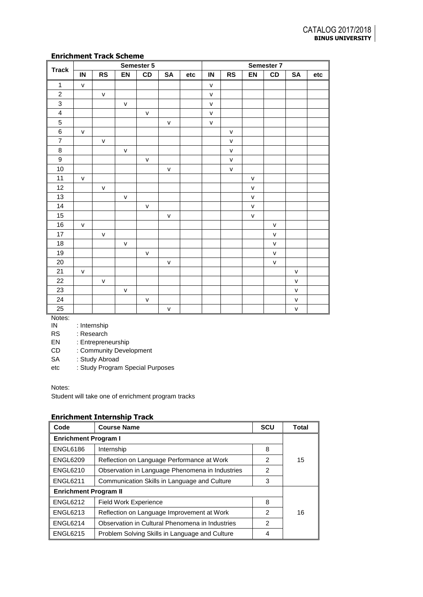## **Enrichment Track Scheme**

|                         |               |              |              | Semester 5   |              |     |              |              |              | Semester 7   |              |     |
|-------------------------|---------------|--------------|--------------|--------------|--------------|-----|--------------|--------------|--------------|--------------|--------------|-----|
| <b>Track</b>            | $\mathsf{IN}$ | <b>RS</b>    | EN           | CD           | <b>SA</b>    | etc | IN           | <b>RS</b>    | EN           | CD           | <b>SA</b>    | etc |
| $\mathbf{1}$            | $\mathsf{v}$  |              |              |              |              |     | $\mathsf{v}$ |              |              |              |              |     |
| $\sqrt{2}$              |               | $\mathsf{V}$ |              |              |              |     | $\mathsf{V}$ |              |              |              |              |     |
| $\mathbf{3}$            |               |              | $\mathsf{v}$ |              |              |     | $\mathsf{v}$ |              |              |              |              |     |
| $\overline{\mathbf{4}}$ |               |              |              | $\mathsf{V}$ |              |     | $\mathsf{v}$ |              |              |              |              |     |
| $\overline{5}$          |               |              |              |              | $\mathsf{V}$ |     | $\mathsf{v}$ |              |              |              |              |     |
| 6                       | $\mathsf{v}$  |              |              |              |              |     |              | ${\sf V}$    |              |              |              |     |
| $\overline{7}$          |               | $\mathsf{V}$ |              |              |              |     |              | $\mathsf{V}$ |              |              |              |     |
| $\bf 8$                 |               |              | $\mathsf{V}$ |              |              |     |              | $\mathsf{V}$ |              |              |              |     |
| $\boldsymbol{9}$        |               |              |              | $\mathsf{V}$ |              |     |              | $\mathsf{V}$ |              |              |              |     |
| $10$                    |               |              |              |              | V            |     |              | $\mathsf{V}$ |              |              |              |     |
| 11                      | $\mathsf{V}$  |              |              |              |              |     |              |              | v            |              |              |     |
| 12                      |               | $\mathsf{V}$ |              |              |              |     |              |              | $\mathsf{V}$ |              |              |     |
| 13                      |               |              | ${\sf V}$    |              |              |     |              |              | $\mathsf{V}$ |              |              |     |
| 14                      |               |              |              | $\mathsf{v}$ |              |     |              |              | $\mathsf{V}$ |              |              |     |
| 15                      |               |              |              |              | $\mathsf{V}$ |     |              |              | v            |              |              |     |
| $16\,$                  | $\mathsf{v}$  |              |              |              |              |     |              |              |              | $\mathsf{V}$ |              |     |
| 17                      |               | $\mathsf{v}$ |              |              |              |     |              |              |              | $\mathsf{V}$ |              |     |
| 18                      |               |              | ${\sf V}$    |              |              |     |              |              |              | $\mathsf{V}$ |              |     |
| 19                      |               |              |              | $\mathsf{v}$ |              |     |              |              |              | $\mathsf{V}$ |              |     |
| 20                      |               |              |              |              | $\mathsf{V}$ |     |              |              |              | $\mathsf{v}$ |              |     |
| 21                      | $\mathsf{V}$  |              |              |              |              |     |              |              |              |              | $\mathsf{V}$ |     |
| 22                      |               | $\mathsf{V}$ |              |              |              |     |              |              |              |              | $\mathsf{V}$ |     |
| 23                      |               |              | $\mathsf{V}$ |              |              |     |              |              |              |              | v            |     |
| 24                      |               |              |              | $\mathsf{V}$ |              |     |              |              |              |              | $\mathsf{V}$ |     |
| 25                      |               |              |              |              | $\mathsf{V}$ |     |              |              |              |              | $\mathsf{V}$ |     |

Notes:<br>IN

: Internship

RS : Research

EN : Entrepreneurship

CD : Community Development

SA : Study Abroad

etc : Study Program Special Purposes

Notes:

Student will take one of enrichment program tracks

# **Enrichment Internship Track**

| Code                         | <b>Course Name</b>                              | <b>SCU</b> | Total |  |  |
|------------------------------|-------------------------------------------------|------------|-------|--|--|
| <b>Enrichment Program I</b>  |                                                 |            |       |  |  |
| <b>ENGL6186</b>              | Internship                                      | 8          |       |  |  |
| <b>ENGL6209</b>              | Reflection on Language Performance at Work      | 2          | 15    |  |  |
| <b>ENGL6210</b>              | Observation in Language Phenomena in Industries | 2          |       |  |  |
| <b>ENGL6211</b>              | Communication Skills in Language and Culture    | 3          |       |  |  |
| <b>Enrichment Program II</b> |                                                 |            |       |  |  |
| <b>ENGL6212</b>              | <b>Field Work Experience</b>                    | 8          |       |  |  |
| <b>ENGL6213</b>              | Reflection on Language Improvement at Work      | 2          | 16    |  |  |
| <b>ENGL6214</b>              | Observation in Cultural Phenomena in Industries | 2          |       |  |  |
| <b>ENGL6215</b>              | Problem Solving Skills in Language and Culture  | 4          |       |  |  |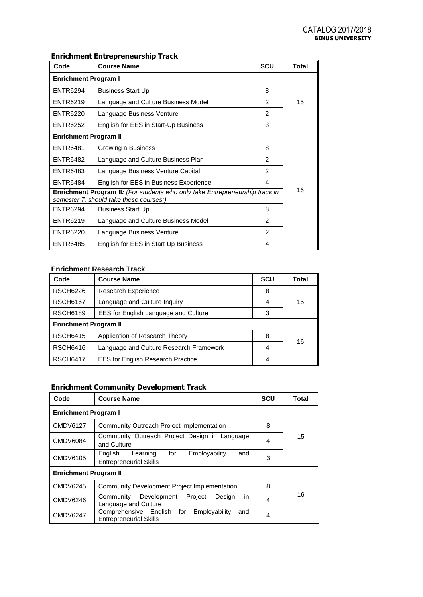# **Enrichment Entrepreneurship Track**

| Code                                                                                                                    | <b>Course Name</b>                     | <b>SCU</b>     | <b>Total</b> |  |  |
|-------------------------------------------------------------------------------------------------------------------------|----------------------------------------|----------------|--------------|--|--|
| <b>Enrichment Program I</b>                                                                                             |                                        |                |              |  |  |
| <b>ENTR6294</b>                                                                                                         | <b>Business Start Up</b>               | 8              |              |  |  |
| <b>ENTR6219</b>                                                                                                         | Language and Culture Business Model    |                | 15           |  |  |
| <b>ENTR6220</b>                                                                                                         | Language Business Venture              | $\mathfrak{p}$ |              |  |  |
| ENTR6252                                                                                                                | English for EES in Start-Up Business   | 3              |              |  |  |
| <b>Enrichment Program II</b>                                                                                            |                                        |                |              |  |  |
| <b>ENTR6481</b>                                                                                                         | Growing a Business                     | 8              |              |  |  |
| ENTR6482                                                                                                                | Language and Culture Business Plan     | $\overline{2}$ |              |  |  |
| <b>ENTR6483</b>                                                                                                         | Language Business Venture Capital      | $\mathfrak{p}$ |              |  |  |
| <b>ENTR6484</b>                                                                                                         | English for EES in Business Experience | 4              | 16           |  |  |
| Enrichment Program II: (For students who only take Entrepreneurship track in<br>semester 7, should take these courses:) |                                        |                |              |  |  |
| <b>ENTR6294</b>                                                                                                         | <b>Business Start Up</b>               | 8              |              |  |  |
| <b>ENTR6219</b>                                                                                                         | Language and Culture Business Model    | 2              |              |  |  |
| <b>ENTR6220</b>                                                                                                         | Language Business Venture              | $\mathfrak{p}$ |              |  |  |
| <b>ENTR6485</b>                                                                                                         | English for EES in Start Up Business   | 4              |              |  |  |

## **Enrichment Research Track**

| Code                         | <b>Course Name</b>                       | <b>SCU</b> | Total |  |  |
|------------------------------|------------------------------------------|------------|-------|--|--|
| <b>RSCH6226</b>              | Research Experience                      | 8          |       |  |  |
| <b>RSCH6167</b>              | Language and Culture Inquiry             | 4          | 15    |  |  |
| <b>RSCH6189</b>              | EES for English Language and Culture     | 3          |       |  |  |
| <b>Enrichment Program II</b> |                                          |            |       |  |  |
| <b>RSCH6415</b>              | Application of Research Theory           | 8          | 16    |  |  |
| <b>RSCH6416</b>              | Language and Culture Research Framework  | 4          |       |  |  |
| <b>RSCH6417</b>              | <b>EES for English Research Practice</b> | 4          |       |  |  |

# **Enrichment Community Development Track**

| Code                         | <b>Course Name</b>                                                                    | <b>SCU</b> | Total |  |  |
|------------------------------|---------------------------------------------------------------------------------------|------------|-------|--|--|
| <b>Enrichment Program I</b>  |                                                                                       |            |       |  |  |
| <b>CMDV6127</b>              | Community Outreach Project Implementation                                             |            |       |  |  |
| <b>CMDV6084</b>              | Community Outreach Project Design in Language<br>and Culture                          | 4          | 15    |  |  |
| CMDV6105                     | Employability<br>English<br>for<br>Learning<br>and<br><b>Entrepreneurial Skills</b>   | 3          |       |  |  |
| <b>Enrichment Program II</b> |                                                                                       |            |       |  |  |
| <b>CMDV6245</b>              | <b>Community Development Project Implementation</b><br>8                              |            |       |  |  |
| <b>CMDV6246</b>              | in.<br>Project<br>Community<br>Development<br>Design<br>Language and Culture          | 4          | 16    |  |  |
| <b>CMDV6247</b>              | Comprehensive English<br>for<br>Employability<br>and<br><b>Entrepreneurial Skills</b> | 4          |       |  |  |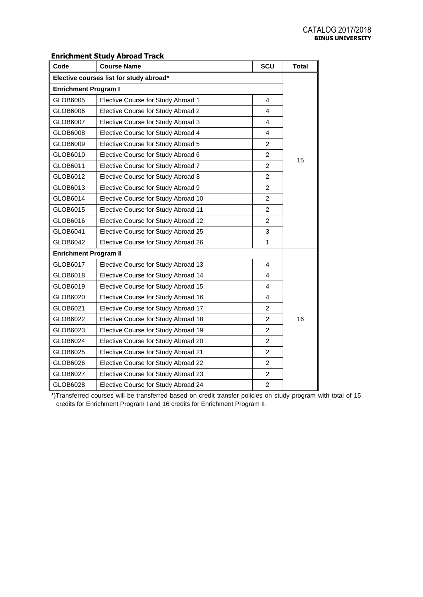## **Enrichment Study Abroad Track**

| Code                                    | <b>Course Name</b>                  | SCU            | <b>Total</b> |  |  |
|-----------------------------------------|-------------------------------------|----------------|--------------|--|--|
| Elective courses list for study abroad* |                                     |                |              |  |  |
| <b>Enrichment Program I</b>             |                                     |                |              |  |  |
| GLOB6005                                | Elective Course for Study Abroad 1  | 4              |              |  |  |
| GLOB6006                                | Elective Course for Study Abroad 2  | 4              |              |  |  |
| GLOB6007                                | Elective Course for Study Abroad 3  | $\overline{4}$ |              |  |  |
| GLOB6008                                | Elective Course for Study Abroad 4  | 4              |              |  |  |
| GLOB6009                                | Elective Course for Study Abroad 5  | $\overline{c}$ |              |  |  |
| GLOB6010                                | Elective Course for Study Abroad 6  | $\overline{2}$ |              |  |  |
| GLOB6011                                | Elective Course for Study Abroad 7  | $\overline{2}$ | 15           |  |  |
| GLOB6012                                | Elective Course for Study Abroad 8  | $\overline{2}$ |              |  |  |
| GLOB6013                                | Elective Course for Study Abroad 9  | $\overline{2}$ |              |  |  |
| GLOB6014                                | Elective Course for Study Abroad 10 | 2              |              |  |  |
| GLOB6015                                | Elective Course for Study Abroad 11 | $\overline{2}$ |              |  |  |
| GLOB6016                                | Elective Course for Study Abroad 12 | $\overline{2}$ |              |  |  |
| GLOB6041                                | Elective Course for Study Abroad 25 | 3              |              |  |  |
| GLOB6042                                | Elective Course for Study Abroad 26 | $\mathbf{1}$   |              |  |  |
| <b>Enrichment Program II</b>            |                                     |                |              |  |  |
| GLOB6017                                | Elective Course for Study Abroad 13 | $\overline{4}$ |              |  |  |
| GLOB6018                                | Elective Course for Study Abroad 14 | 4              |              |  |  |
| GLOB6019                                | Elective Course for Study Abroad 15 | 4              |              |  |  |
| GLOB6020                                | Elective Course for Study Abroad 16 | 4              |              |  |  |
| GLOB6021                                | Elective Course for Study Abroad 17 | $\overline{c}$ |              |  |  |
| GLOB6022                                | Elective Course for Study Abroad 18 | $\overline{2}$ | 16           |  |  |
| GLOB6023                                | Elective Course for Study Abroad 19 | $\overline{2}$ |              |  |  |
| GLOB6024                                | Elective Course for Study Abroad 20 | $\overline{2}$ |              |  |  |
| GLOB6025                                | Elective Course for Study Abroad 21 | $\overline{2}$ |              |  |  |
| GLOB6026                                | Elective Course for Study Abroad 22 | $\overline{2}$ |              |  |  |
| GLOB6027                                | Elective Course for Study Abroad 23 | $\overline{c}$ |              |  |  |
| GLOB6028                                | Elective Course for Study Abroad 24 | $\overline{2}$ |              |  |  |

\*)Transferred courses will be transferred based on credit transfer policies on study program with total of 15 credits for Enrichment Program I and 16 credits for Enrichment Program II.